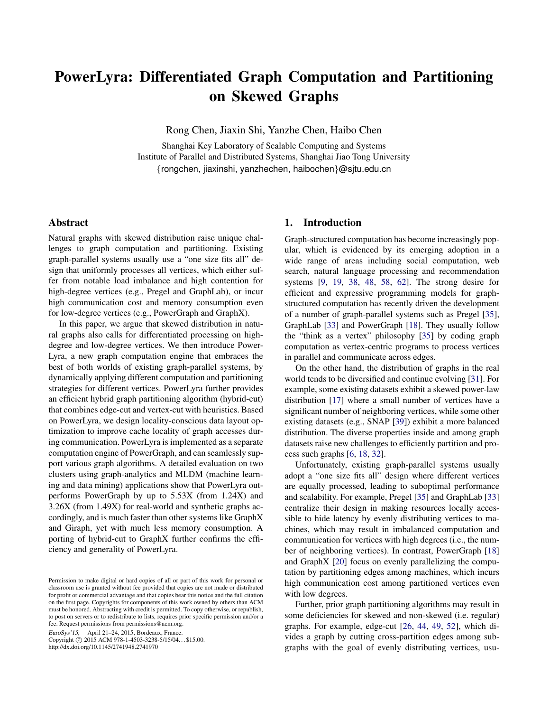# PowerLyra: Differentiated Graph Computation and Partitioning on Skewed Graphs

Rong Chen, Jiaxin Shi, Yanzhe Chen, Haibo Chen

Shanghai Key Laboratory of Scalable Computing and Systems Institute of Parallel and Distributed Systems, Shanghai Jiao Tong University {rongchen, jiaxinshi, yanzhechen, haibochen}@sjtu.edu.cn

## Abstract

Natural graphs with skewed distribution raise unique challenges to graph computation and partitioning. Existing graph-parallel systems usually use a "one size fits all" design that uniformly processes all vertices, which either suffer from notable load imbalance and high contention for high-degree vertices (e.g., Pregel and GraphLab), or incur high communication cost and memory consumption even for low-degree vertices (e.g., PowerGraph and GraphX).

In this paper, we argue that skewed distribution in natural graphs also calls for differentiated processing on highdegree and low-degree vertices. We then introduce Power-Lyra, a new graph computation engine that embraces the best of both worlds of existing graph-parallel systems, by dynamically applying different computation and partitioning strategies for different vertices. PowerLyra further provides an efficient hybrid graph partitioning algorithm (hybrid-cut) that combines edge-cut and vertex-cut with heuristics. Based on PowerLyra, we design locality-conscious data layout optimization to improve cache locality of graph accesses during communication. PowerLyra is implemented as a separate computation engine of PowerGraph, and can seamlessly support various graph algorithms. A detailed evaluation on two clusters using graph-analytics and MLDM (machine learning and data mining) applications show that PowerLyra outperforms PowerGraph by up to 5.53X (from 1.24X) and 3.26X (from 1.49X) for real-world and synthetic graphs accordingly, and is much faster than other systems like GraphX and Giraph, yet with much less memory consumption. A porting of hybrid-cut to GraphX further confirms the efficiency and generality of PowerLyra.

EuroSys'15, April 21–24, 2015, Bordeaux, France.

Copyright © 2015 ACM 978-1-4503-3238-5/15/04... \$15.00. http://dx.doi.org/10.1145/2741948.2741970

## 1. Introduction

Graph-structured computation has become increasingly popular, which is evidenced by its emerging adoption in a wide range of areas including social computation, web search, natural language processing and recommendation systems [\[9](#page-13-0), [19](#page-13-1), [38](#page-14-0), [48](#page-14-1), [58](#page-14-2), [62](#page-14-3)]. The strong desire for efficient and expressive programming models for graphstructured computation has recently driven the development of a number of graph-parallel systems such as Pregel [\[35](#page-14-4)], GraphLab [\[33](#page-14-5)] and PowerGraph [\[18](#page-13-2)]. They usually follow the "think as a vertex" philosophy [\[35\]](#page-14-4) by coding graph computation as vertex-centric programs to process vertices in parallel and communicate across edges.

On the other hand, the distribution of graphs in the real world tends to be diversified and continue evolving [\[31](#page-13-3)]. For example, some existing datasets exhibit a skewed power-law distribution [\[17\]](#page-13-4) where a small number of vertices have a significant number of neighboring vertices, while some other existing datasets (e.g., SNAP [\[39](#page-14-6)]) exhibit a more balanced distribution. The diverse properties inside and among graph datasets raise new challenges to efficiently partition and process such graphs [\[6](#page-13-5), [18](#page-13-2), [32](#page-14-7)].

Unfortunately, existing graph-parallel systems usually adopt a "one size fits all" design where different vertices are equally processed, leading to suboptimal performance and scalability. For example, Pregel [\[35](#page-14-4)] and GraphLab [\[33\]](#page-14-5) centralize their design in making resources locally accessible to hide latency by evenly distributing vertices to machines, which may result in imbalanced computation and communication for vertices with high degrees (i.e., the number of neighboring vertices). In contrast, PowerGraph [\[18\]](#page-13-2) and GraphX [\[20](#page-13-6)] focus on evenly parallelizing the computation by partitioning edges among machines, which incurs high communication cost among partitioned vertices even with low degrees.

Further, prior graph partitioning algorithms may result in some deficiencies for skewed and non-skewed (i.e. regular) graphs. For example, edge-cut [\[26,](#page-13-7) [44,](#page-14-8) [49](#page-14-9), [52](#page-14-10)], which divides a graph by cutting cross-partition edges among subgraphs with the goal of evenly distributing vertices, usu-

Permission to make digital or hard copies of all or part of this work for personal or classroom use is granted without fee provided that copies are not made or distributed for profit or commercial advantage and that copies bear this notice and the full citation on the first page. Copyrights for components of this work owned by others than ACM must be honored. Abstracting with credit is permitted. To copy otherwise, or republish, to post on servers or to redistribute to lists, requires prior specific permission and/or a fee. Request permissions from permissions@acm.org.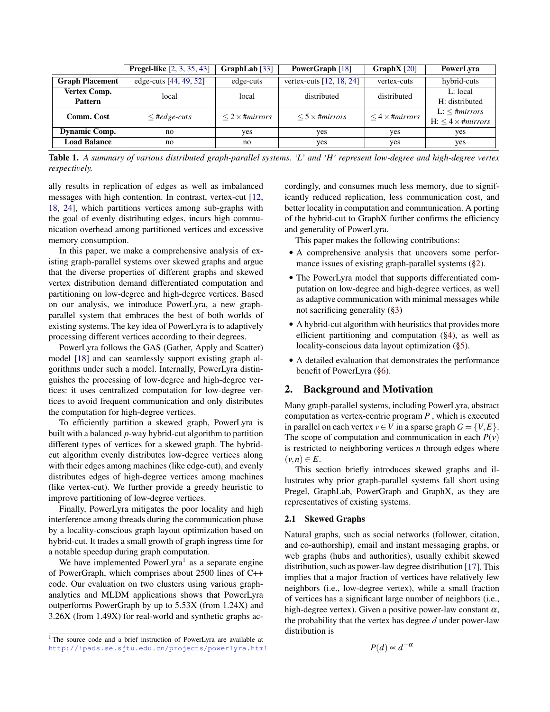|                                | <b>Pregel-like</b> $[2, 3, 35, 43]$ | GraphLab $[33]$          | <b>PowerGraph</b> [18]     | GraphX $[20]$              | PowerLyra                                            |  |
|--------------------------------|-------------------------------------|--------------------------|----------------------------|----------------------------|------------------------------------------------------|--|
| <b>Graph Placement</b>         | edge-cuts [44, 49, 52]              | edge-cuts                | vertex-cuts $[12, 18, 24]$ | vertex-cuts                | hybrid-cuts                                          |  |
| Vertex Comp.<br><b>Pattern</b> | local                               | local                    | distributed                | distributed                | L: local<br>H: distributed                           |  |
| Comm. Cost                     | $\leq$ #edge-cuts                   | $\leq 2 \times$ #mirrors | $5 \times$ #mirrors        | $\leq$ 4 $\times$ #mirrors | $L: \leq$ #mirrors<br>$H: \leq 4 \times \frac{4}{3}$ |  |
| <b>Dynamic Comp.</b>           | no                                  | yes                      | yes                        | yes                        | yes                                                  |  |
| <b>Load Balance</b>            | no                                  | no                       | yes                        | yes                        | yes                                                  |  |

<span id="page-1-2"></span>Table 1. *A summary of various distributed graph-parallel systems. 'L' and 'H' represent low-degree and high-degree vertex respectively.*

ally results in replication of edges as well as imbalanced messages with high contention. In contrast, vertex-cut [\[12,](#page-13-10) [18,](#page-13-2) [24\]](#page-13-11), which partitions vertices among sub-graphs with the goal of evenly distributing edges, incurs high communication overhead among partitioned vertices and excessive memory consumption.

In this paper, we make a comprehensive analysis of existing graph-parallel systems over skewed graphs and argue that the diverse properties of different graphs and skewed vertex distribution demand differentiated computation and partitioning on low-degree and high-degree vertices. Based on our analysis, we introduce PowerLyra, a new graphparallel system that embraces the best of both worlds of existing systems. The key idea of PowerLyra is to adaptively processing different vertices according to their degrees.

PowerLyra follows the GAS (Gather, Apply and Scatter) model [\[18](#page-13-2)] and can seamlessly support existing graph algorithms under such a model. Internally, PowerLyra distinguishes the processing of low-degree and high-degree vertices: it uses centralized computation for low-degree vertices to avoid frequent communication and only distributes the computation for high-degree vertices.

To efficiently partition a skewed graph, PowerLyra is built with a balanced *p*-way hybrid-cut algorithm to partition different types of vertices for a skewed graph. The hybridcut algorithm evenly distributes low-degree vertices along with their edges among machines (like edge-cut), and evenly distributes edges of high-degree vertices among machines (like vertex-cut). We further provide a greedy heuristic to improve partitioning of low-degree vertices.

Finally, PowerLyra mitigates the poor locality and high interference among threads during the communication phase by a locality-conscious graph layout optimization based on hybrid-cut. It trades a small growth of graph ingress time for a notable speedup during graph computation.

We have implemented PowerLyra<sup>[1](#page-1-0)</sup> as a separate engine of PowerGraph, which comprises about 2500 lines of C++ code. Our evaluation on two clusters using various graphanalytics and MLDM applications shows that PowerLyra outperforms PowerGraph by up to 5.53X (from 1.24X) and 3.26X (from 1.49X) for real-world and synthetic graphs accordingly, and consumes much less memory, due to significantly reduced replication, less communication cost, and better locality in computation and communication. A porting of the hybrid-cut to GraphX further confirms the efficiency and generality of PowerLyra.

This paper makes the following contributions:

- A comprehensive analysis that uncovers some performance issues of existing graph-parallel systems ([§2\)](#page-1-1).
- The PowerLyra model that supports differentiated computation on low-degree and high-degree vertices, as well as adaptive communication with minimal messages while not sacrificing generality ([§3\)](#page-4-0)
- A hybrid-cut algorithm with heuristics that provides more efficient partitioning and computation ([§4\)](#page-5-0), as well as locality-conscious data layout optimization ([§5\)](#page-7-0).
- A detailed evaluation that demonstrates the performance benefit of PowerLyra ([§6\)](#page-8-0).

# <span id="page-1-1"></span>2. Background and Motivation

Many graph-parallel systems, including PowerLyra, abstract computation as vertex-centric program *P* , which is executed in parallel on each vertex  $v \in V$  in a sparse graph  $G = \{V, E\}$ . The scope of computation and communication in each  $P(v)$ is restricted to neighboring vertices *n* through edges where  $(v, n) \in E$ .

This section briefly introduces skewed graphs and illustrates why prior graph-parallel systems fall short using Pregel, GraphLab, PowerGraph and GraphX, as they are representatives of existing systems.

## 2.1 Skewed Graphs

Natural graphs, such as social networks (follower, citation, and co-authorship), email and instant messaging graphs, or web graphs (hubs and authorities), usually exhibit skewed distribution, such as power-law degree distribution [\[17\]](#page-13-4). This implies that a major fraction of vertices have relatively few neighbors (i.e., low-degree vertex), while a small fraction of vertices has a significant large number of neighbors (i.e., high-degree vertex). Given a positive power-law constant  $\alpha$ , the probability that the vertex has degree *d* under power-law distribution is

$$
P(d) \propto d^{-\alpha}
$$

<span id="page-1-0"></span><sup>&</sup>lt;sup>1</sup> The source code and a brief instruction of PowerLyra are available at <http://ipads.se.sjtu.edu.cn/projects/powerlyra.html>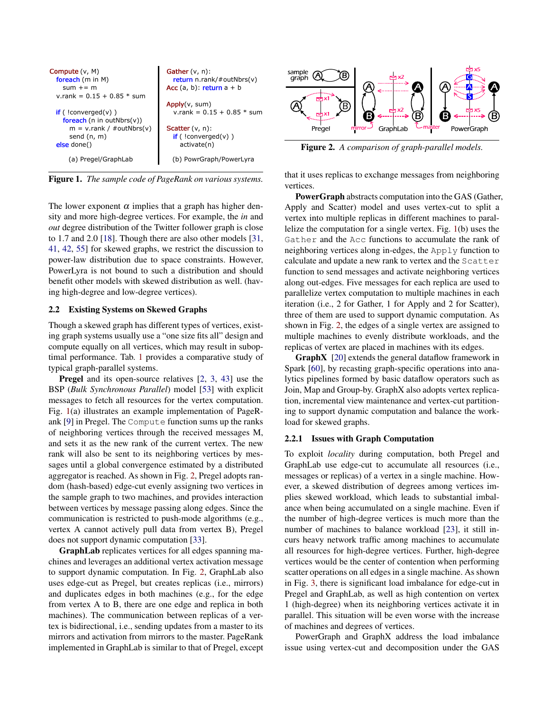| Compute (v, M)<br>foreach (m in M)<br>$sum + = m$<br>v.rank = $0.15 + 0.85$ * sum | Gather $(v, n)$ :<br>return $n.\text{rank}/\text{\#outNbrs}(v)$<br>Acc $(a, b)$ : return $a + b$ |
|-----------------------------------------------------------------------------------|--------------------------------------------------------------------------------------------------|
|                                                                                   | Apply(v, sum)                                                                                    |
| if('converged(v))<br>foreach (n in outNbrs $(v)$ )                                | v.rank = $0.15 + 0.85$ * sum                                                                     |
| $m = v$ .rank / #outNbrs(v)                                                       | Scatter $(v, n)$ :                                                                               |
| send $(n, m)$<br>else done()                                                      | if('converged(v))<br>activate(n)                                                                 |
| (a) Pregel/GraphLab                                                               | (b) PowrGraph/PowerLyra                                                                          |

<span id="page-2-0"></span>Figure 1. *The sample code of PageRank on various systems.*

The lower exponent  $\alpha$  implies that a graph has higher density and more high-degree vertices. For example, the *in* and *out* degree distribution of the Twitter follower graph is close to 1.7 and 2.0 [\[18\]](#page-13-2). Though there are also other models [\[31,](#page-13-3) [41,](#page-14-12) [42](#page-14-13), [55\]](#page-14-14) for skewed graphs, we restrict the discussion to power-law distribution due to space constraints. However, PowerLyra is not bound to such a distribution and should benefit other models with skewed distribution as well. (having high-degree and low-degree vertices).

## 2.2 Existing Systems on Skewed Graphs

Though a skewed graph has different types of vertices, existing graph systems usually use a "one size fits all" design and compute equally on all vertices, which may result in suboptimal performance. Tab. [1](#page-1-2) provides a comparative study of typical graph-parallel systems.

Pregel and its open-source relatives [\[2,](#page-13-8) [3](#page-13-9), [43](#page-14-11)] use the BSP (*Bulk Synchronous Parallel*) model [\[53](#page-14-15)] with explicit messages to fetch all resources for the vertex computation. Fig. [1\(](#page-2-0)a) illustrates an example implementation of PageRank [\[9\]](#page-13-0) in Pregel. The Compute function sums up the ranks of neighboring vertices through the received messages M, and sets it as the new rank of the current vertex. The new rank will also be sent to its neighboring vertices by messages until a global convergence estimated by a distributed aggregator is reached. As shown in Fig. [2,](#page-2-1) Pregel adopts random (hash-based) edge-cut evenly assigning two vertices in the sample graph to two machines, and provides interaction between vertices by message passing along edges. Since the communication is restricted to push-mode algorithms (e.g., vertex A cannot actively pull data from vertex B), Pregel does not support dynamic computation [\[33\]](#page-14-5).

GraphLab replicates vertices for all edges spanning machines and leverages an additional vertex activation message to support dynamic computation. In Fig. [2,](#page-2-1) GraphLab also uses edge-cut as Pregel, but creates replicas (i.e., mirrors) and duplicates edges in both machines (e.g., for the edge from vertex A to B, there are one edge and replica in both machines). The communication between replicas of a vertex is bidirectional, i.e., sending updates from a master to its mirrors and activation from mirrors to the master. PageRank implemented in GraphLab is similar to that of Pregel, except



<span id="page-2-1"></span>Figure 2. *A comparison of graph-parallel models.*

that it uses replicas to exchange messages from neighboring vertices.

PowerGraph abstracts computation into the GAS (Gather, Apply and Scatter) model and uses vertex-cut to split a vertex into multiple replicas in different machines to parallelize the computation for a single vertex. Fig. [1\(](#page-2-0)b) uses the Gather and the Acc functions to accumulate the rank of neighboring vertices along in-edges, the Apply function to calculate and update a new rank to vertex and the Scatter function to send messages and activate neighboring vertices along out-edges. Five messages for each replica are used to parallelize vertex computation to multiple machines in each iteration (i.e., 2 for Gather, 1 for Apply and 2 for Scatter), three of them are used to support dynamic computation. As shown in Fig. [2,](#page-2-1) the edges of a single vertex are assigned to multiple machines to evenly distribute workloads, and the replicas of vertex are placed in machines with its edges.

GraphX [\[20](#page-13-6)] extends the general dataflow framework in Spark [\[60](#page-14-16)], by recasting graph-specific operations into analytics pipelines formed by basic dataflow operators such as Join, Map and Group-by. GraphX also adopts vertex replication, incremental view maintenance and vertex-cut partitioning to support dynamic computation and balance the workload for skewed graphs.

#### 2.2.1 Issues with Graph Computation

To exploit *locality* during computation, both Pregel and GraphLab use edge-cut to accumulate all resources (i.e., messages or replicas) of a vertex in a single machine. However, a skewed distribution of degrees among vertices implies skewed workload, which leads to substantial imbalance when being accumulated on a single machine. Even if the number of high-degree vertices is much more than the number of machines to balance workload [\[23\]](#page-13-12), it still incurs heavy network traffic among machines to accumulate all resources for high-degree vertices. Further, high-degree vertices would be the center of contention when performing scatter operations on all edges in a single machine. As shown in Fig. [3,](#page-3-0) there is significant load imbalance for edge-cut in Pregel and GraphLab, as well as high contention on vertex 1 (high-degree) when its neighboring vertices activate it in parallel. This situation will be even worse with the increase of machines and degrees of vertices.

PowerGraph and GraphX address the load imbalance issue using vertex-cut and decomposition under the GAS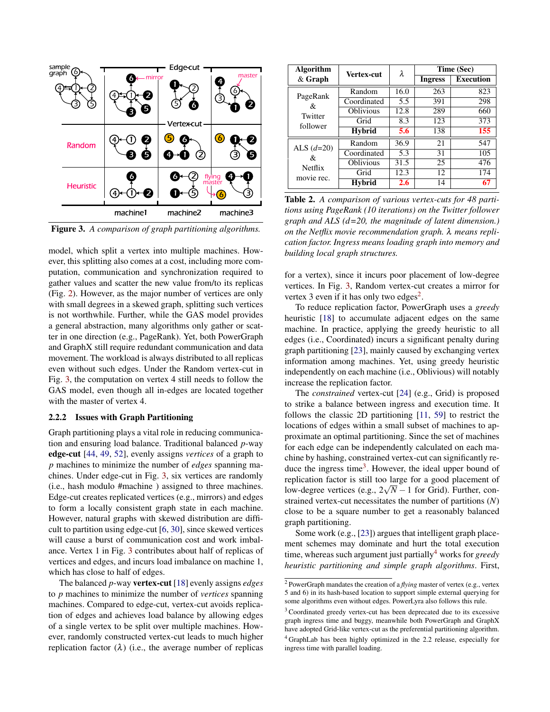

<span id="page-3-0"></span>Figure 3. *A comparison of graph partitioning algorithms.*

model, which split a vertex into multiple machines. However, this splitting also comes at a cost, including more computation, communication and synchronization required to gather values and scatter the new value from/to its replicas (Fig. [2\)](#page-2-1). However, as the major number of vertices are only with small degrees in a skewed graph, splitting such vertices is not worthwhile. Further, while the GAS model provides a general abstraction, many algorithms only gather or scatter in one direction (e.g., PageRank). Yet, both PowerGraph and GraphX still require redundant communication and data movement. The workload is always distributed to all replicas even without such edges. Under the Random vertex-cut in Fig. [3,](#page-3-0) the computation on vertex 4 still needs to follow the GAS model, even though all in-edges are located together with the master of vertex 4.

#### 2.2.2 Issues with Graph Partitioning

Graph partitioning plays a vital role in reducing communication and ensuring load balance. Traditional balanced *p*-way edge-cut [\[44](#page-14-8), [49,](#page-14-9) [52](#page-14-10)], evenly assigns *vertices* of a graph to *p* machines to minimize the number of *edges* spanning machines. Under edge-cut in Fig. [3,](#page-3-0) six vertices are randomly (i.e., hash modulo #machine ) assigned to three machines. Edge-cut creates replicated vertices (e.g., mirrors) and edges to form a locally consistent graph state in each machine. However, natural graphs with skewed distribution are difficult to partition using edge-cut [\[6](#page-13-5), [30\]](#page-13-13), since skewed vertices will cause a burst of communication cost and work imbalance. Vertex 1 in Fig. [3](#page-3-0) contributes about half of replicas of vertices and edges, and incurs load imbalance on machine 1, which has close to half of edges.

The balanced *p*-way vertex-cut [\[18](#page-13-2)] evenly assigns *edges* to *p* machines to minimize the number of *vertices* spanning machines. Compared to edge-cut, vertex-cut avoids replication of edges and achieves load balance by allowing edges of a single vertex to be split over multiple machines. However, randomly constructed vertex-cut leads to much higher replication factor  $(\lambda)$  (i.e., the average number of replicas

| <b>Algorithm</b> | Vertex-cut       | λ    | Time (Sec)     |           |  |  |
|------------------|------------------|------|----------------|-----------|--|--|
| $&$ Graph        |                  |      | <b>Ingress</b> | Execution |  |  |
| PageRank         | Random           | 16.0 | 263            | 823       |  |  |
| &                | Coordinated      | 5.5  | 391            | 298       |  |  |
| Twitter          | Oblivious        | 12.8 | 289            | 660       |  |  |
| follower         | Grid             | 8.3  | 123            | 373       |  |  |
|                  | <b>Hybrid</b>    | 5.6  | 138            | 155       |  |  |
| ALS $(d=20)$     | Random           | 36.9 | 21             | 547       |  |  |
| &                | Coordinated      | 5.3  | 31             | 105       |  |  |
| Netflix          | <b>Oblivious</b> | 31.5 | 25             | 476       |  |  |
| movie rec.       | Grid             | 12.3 | 12             | 174       |  |  |
|                  | Hybrid           | 2.6  | 14             | 67        |  |  |

<span id="page-3-4"></span>Table 2. *A comparison of various vertex-cuts for 48 partitions using PageRank (10 iterations) on the Twitter follower graph and ALS (d=20, the magnitude of latent dimension.) on the Netflix movie recommendation graph.* λ *means replication factor. Ingress means loading graph into memory and building local graph structures.*

for a vertex), since it incurs poor placement of low-degree vertices. In Fig. [3,](#page-3-0) Random vertex-cut creates a mirror for vertex 3 even if it has only two edges<sup>[2](#page-3-1)</sup>.

To reduce replication factor, PowerGraph uses a *greedy* heuristic [\[18](#page-13-2)] to accumulate adjacent edges on the same machine. In practice, applying the greedy heuristic to all edges (i.e., Coordinated) incurs a significant penalty during graph partitioning [\[23\]](#page-13-12), mainly caused by exchanging vertex information among machines. Yet, using greedy heuristic independently on each machine (i.e., Oblivious) will notably increase the replication factor.

The *constrained* vertex-cut [\[24\]](#page-13-11) (e.g., Grid) is proposed to strike a balance between ingress and execution time. It follows the classic 2D partitioning [\[11](#page-13-14), [59](#page-14-17)] to restrict the locations of edges within a small subset of machines to approximate an optimal partitioning. Since the set of machines for each edge can be independently calculated on each machine by hashing, constrained vertex-cut can significantly re-duce the ingress time<sup>[3](#page-3-2)</sup>. However, the ideal upper bound of replication factor is still too large for a good placement of low-degree vertices (e.g.,  $2\sqrt{N} - 1$  for Grid). Further, constrained vertex-cut necessitates the number of partitions (*N*) close to be a square number to get a reasonably balanced graph partitioning.

Some work (e.g., [\[23](#page-13-12)]) argues that intelligent graph placement schemes may dominate and hurt the total execution time, whereas such argument just partially<sup>[4](#page-3-3)</sup> works for *greedy heuristic partitioning and simple graph algorithms*. First,

<span id="page-3-1"></span><sup>2</sup> PowerGraph mandates the creation of a *flying* master of vertex (e.g., vertex 5 and 6) in its hash-based location to support simple external querying for some algorithms even without edges. PowerLyra also follows this rule.

<span id="page-3-3"></span><span id="page-3-2"></span><sup>3</sup> Coordinated greedy vertex-cut has been deprecated due to its excessive graph ingress time and buggy, meanwhile both PowerGraph and GraphX have adopted Grid-like vertex-cut as the preferential partitioning algorithm. <sup>4</sup> GraphLab has been highly optimized in the 2.2 release, especially for ingress time with parallel loading.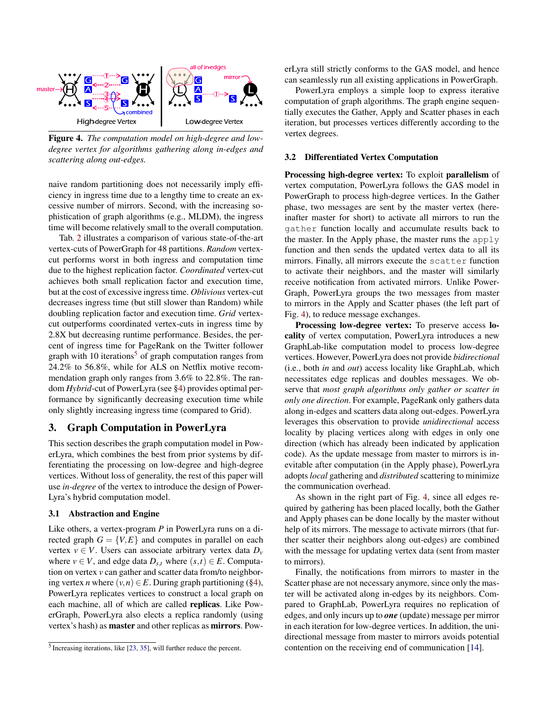

<span id="page-4-2"></span>Figure 4. *The computation model on high-degree and lowdegree vertex for algorithms gathering along in-edges and scattering along out-edges.*

naive random partitioning does not necessarily imply efficiency in ingress time due to a lengthy time to create an excessive number of mirrors. Second, with the increasing sophistication of graph algorithms (e.g., MLDM), the ingress time will become relatively small to the overall computation.

Tab. [2](#page-3-4) illustrates a comparison of various state-of-the-art vertex-cuts of PowerGraph for 48 partitions. *Random* vertexcut performs worst in both ingress and computation time due to the highest replication factor. *Coordinated* vertex-cut achieves both small replication factor and execution time, but at the cost of excessive ingress time. *Oblivious* vertex-cut decreases ingress time (but still slower than Random) while doubling replication factor and execution time. *Grid* vertexcut outperforms coordinated vertex-cuts in ingress time by 2.8X but decreasing runtime performance. Besides, the percent of ingress time for PageRank on the Twitter follower graph with 10 iterations<sup>[5](#page-4-1)</sup> of graph computation ranges from 24.2% to 56.8%, while for ALS on Netflix motive recommendation graph only ranges from 3.6% to 22.8%. The random *Hybrid*-cut of PowerLyra (see [§4\)](#page-5-0) provides optimal performance by significantly decreasing execution time while only slightly increasing ingress time (compared to Grid).

## <span id="page-4-0"></span>3. Graph Computation in PowerLyra

This section describes the graph computation model in PowerLyra, which combines the best from prior systems by differentiating the processing on low-degree and high-degree vertices. Without loss of generality, the rest of this paper will use *in-degree* of the vertex to introduce the design of Power-Lyra's hybrid computation model.

## 3.1 Abstraction and Engine

Like others, a vertex-program *P* in PowerLyra runs on a directed graph  $G = \{V, E\}$  and computes in parallel on each vertex  $v \in V$ . Users can associate arbitrary vertex data  $D_v$ where  $v \in V$ , and edge data  $D_{s,t}$  where  $(s,t) \in E$ . Computation on vertex *v* can gather and scatter data from/to neighboring vertex *n* where  $(v, n) \in E$ . During graph partitioning ([§4\)](#page-5-0), PowerLyra replicates vertices to construct a local graph on each machine, all of which are called replicas. Like PowerGraph, PowerLyra also elects a replica randomly (using vertex's hash) as master and other replicas as mirrors. PowerLyra still strictly conforms to the GAS model, and hence can seamlessly run all existing applications in PowerGraph.

PowerLyra employs a simple loop to express iterative computation of graph algorithms. The graph engine sequentially executes the Gather, Apply and Scatter phases in each iteration, but processes vertices differently according to the vertex degrees.

#### 3.2 Differentiated Vertex Computation

Processing high-degree vertex: To exploit parallelism of vertex computation, PowerLyra follows the GAS model in PowerGraph to process high-degree vertices. In the Gather phase, two messages are sent by the master vertex (hereinafter master for short) to activate all mirrors to run the gather function locally and accumulate results back to the master. In the Apply phase, the master runs the  $apply$ function and then sends the updated vertex data to all its mirrors. Finally, all mirrors execute the scatter function to activate their neighbors, and the master will similarly receive notification from activated mirrors. Unlike Power-Graph, PowerLyra groups the two messages from master to mirrors in the Apply and Scatter phases (the left part of Fig. [4\)](#page-4-2), to reduce message exchanges.

Processing low-degree vertex: To preserve access locality of vertex computation, PowerLyra introduces a new GraphLab-like computation model to process low-degree vertices. However, PowerLyra does not provide *bidirectional* (i.e., both *in* and *out*) access locality like GraphLab, which necessitates edge replicas and doubles messages. We observe that *most graph algorithms only gather or scatter in only one direction*. For example, PageRank only gathers data along in-edges and scatters data along out-edges. PowerLyra leverages this observation to provide *unidirectional* access locality by placing vertices along with edges in only one direction (which has already been indicated by application code). As the update message from master to mirrors is inevitable after computation (in the Apply phase), PowerLyra adopts *local* gathering and *distributed* scattering to minimize the communication overhead.

As shown in the right part of Fig. [4,](#page-4-2) since all edges required by gathering has been placed locally, both the Gather and Apply phases can be done locally by the master without help of its mirrors. The message to activate mirrors (that further scatter their neighbors along out-edges) are combined with the message for updating vertex data (sent from master to mirrors).

Finally, the notifications from mirrors to master in the Scatter phase are not necessary anymore, since only the master will be activated along in-edges by its neighbors. Compared to GraphLab, PowerLyra requires no replication of edges, and only incurs up to *one* (update) message per mirror in each iteration for low-degree vertices. In addition, the unidirectional message from master to mirrors avoids potential contention on the receiving end of communication [\[14](#page-13-15)].

<span id="page-4-1"></span><sup>&</sup>lt;sup>5</sup> Increasing iterations, like [\[23,](#page-13-12) [35\]](#page-14-4), will further reduce the percent.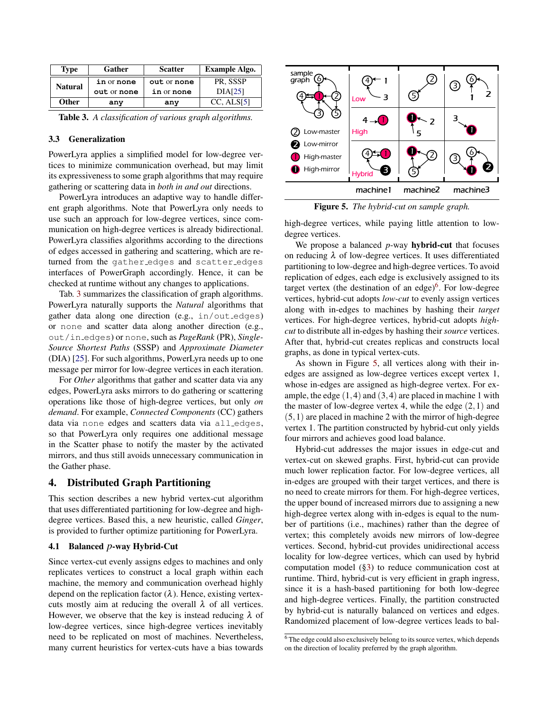| Type         | Gather      | <b>Scatter</b> | <b>Example Algo.</b> |
|--------------|-------------|----------------|----------------------|
|              | in or none  | out or none    | PR. SSSP             |
| Natural      | out or none | in or none     | DIA[25]              |
| <b>Other</b> | anv         | any            | CC. ALS[5]           |

<span id="page-5-1"></span>Table 3. *A classification of various graph algorithms.*

#### 3.3 Generalization

PowerLyra applies a simplified model for low-degree vertices to minimize communication overhead, but may limit its expressiveness to some graph algorithms that may require gathering or scattering data in *both in and out* directions.

PowerLyra introduces an adaptive way to handle different graph algorithms. Note that PowerLyra only needs to use such an approach for low-degree vertices, since communication on high-degree vertices is already bidirectional. PowerLyra classifies algorithms according to the directions of edges accessed in gathering and scattering, which are returned from the gather edges and scatter edges interfaces of PowerGraph accordingly. Hence, it can be checked at runtime without any changes to applications.

Tab. [3](#page-5-1) summarizes the classification of graph algorithms. PowerLyra naturally supports the *Natural* algorithms that gather data along one direction (e.g., in/out edges) or none and scatter data along another direction (e.g., out/in edges) or none, such as *PageRank* (PR), *Single-Source Shortest Paths* (SSSP) and *Approximate Diameter* (DIA) [\[25\]](#page-13-16). For such algorithms, PowerLyra needs up to one message per mirror for low-degree vertices in each iteration.

For *Other* algorithms that gather and scatter data via any edges, PowerLyra asks mirrors to do gathering or scattering operations like those of high-degree vertices, but only *on demand*. For example, *Connected Components* (CC) gathers data via none edges and scatters data via all edges, so that PowerLyra only requires one additional message in the Scatter phase to notify the master by the activated mirrors, and thus still avoids unnecessary communication in the Gather phase.

## <span id="page-5-0"></span>4. Distributed Graph Partitioning

This section describes a new hybrid vertex-cut algorithm that uses differentiated partitioning for low-degree and highdegree vertices. Based this, a new heuristic, called *Ginger*, is provided to further optimize partitioning for PowerLyra.

## 4.1 Balanced *p*-way Hybrid-Cut

Since vertex-cut evenly assigns edges to machines and only replicates vertices to construct a local graph within each machine, the memory and communication overhead highly depend on the replication factor  $(\lambda)$ . Hence, existing vertexcuts mostly aim at reducing the overall  $\lambda$  of all vertices. However, we observe that the key is instead reducing  $\lambda$  of low-degree vertices, since high-degree vertices inevitably need to be replicated on most of machines. Nevertheless, many current heuristics for vertex-cuts have a bias towards



<span id="page-5-3"></span>Figure 5. *The hybrid-cut on sample graph.*

high-degree vertices, while paying little attention to lowdegree vertices.

We propose a balanced *p*-way hybrid-cut that focuses on reducing  $\lambda$  of low-degree vertices. It uses differentiated partitioning to low-degree and high-degree vertices. To avoid replication of edges, each edge is exclusively assigned to its target vertex (the destination of an edge) $6$ . For low-degree vertices, hybrid-cut adopts *low-cut* to evenly assign vertices along with in-edges to machines by hashing their *target* vertices. For high-degree vertices, hybrid-cut adopts *highcut* to distribute all in-edges by hashing their *source* vertices. After that, hybrid-cut creates replicas and constructs local graphs, as done in typical vertex-cuts.

As shown in Figure [5,](#page-5-3) all vertices along with their inedges are assigned as low-degree vertices except vertex 1, whose in-edges are assigned as high-degree vertex. For example, the edge  $(1,4)$  and  $(3,4)$  are placed in machine 1 with the master of low-degree vertex 4, while the edge  $(2,1)$  and  $(5,1)$  are placed in machine 2 with the mirror of high-degree vertex 1. The partition constructed by hybrid-cut only yields four mirrors and achieves good load balance.

Hybrid-cut addresses the major issues in edge-cut and vertex-cut on skewed graphs. First, hybrid-cut can provide much lower replication factor. For low-degree vertices, all in-edges are grouped with their target vertices, and there is no need to create mirrors for them. For high-degree vertices, the upper bound of increased mirrors due to assigning a new high-degree vertex along with in-edges is equal to the number of partitions (i.e., machines) rather than the degree of vertex; this completely avoids new mirrors of low-degree vertices. Second, hybrid-cut provides unidirectional access locality for low-degree vertices, which can used by hybrid computation model ([§3\)](#page-4-0) to reduce communication cost at runtime. Third, hybrid-cut is very efficient in graph ingress, since it is a hash-based partitioning for both low-degree and high-degree vertices. Finally, the partition constructed by hybrid-cut is naturally balanced on vertices and edges. Randomized placement of low-degree vertices leads to bal-

<span id="page-5-2"></span><sup>6</sup> The edge could also exclusively belong to its source vertex, which depends on the direction of locality preferred by the graph algorithm.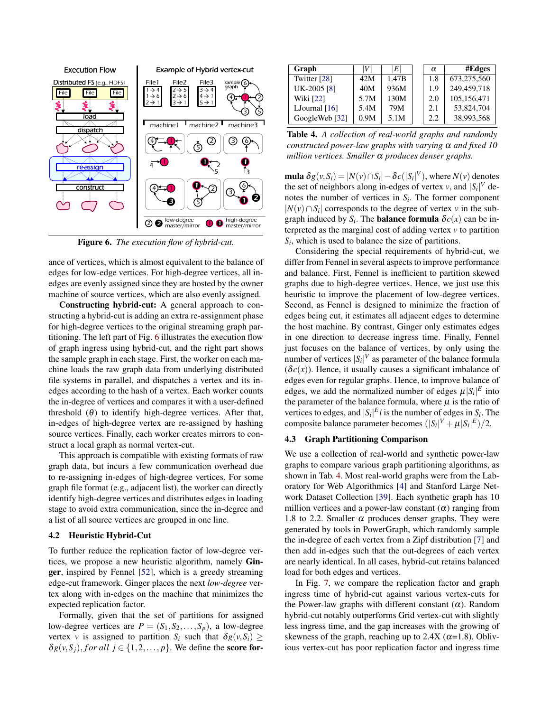

<span id="page-6-0"></span>Figure 6. *The execution flow of hybrid-cut.*

ance of vertices, which is almost equivalent to the balance of edges for low-edge vertices. For high-degree vertices, all inedges are evenly assigned since they are hosted by the owner machine of source vertices, which are also evenly assigned.

Constructing hybrid-cut: A general approach to constructing a hybrid-cut is adding an extra re-assignment phase for high-degree vertices to the original streaming graph partitioning. The left part of Fig. [6](#page-6-0) illustrates the execution flow of graph ingress using hybrid-cut, and the right part shows the sample graph in each stage. First, the worker on each machine loads the raw graph data from underlying distributed file systems in parallel, and dispatches a vertex and its inedges according to the hash of a vertex. Each worker counts the in-degree of vertices and compares it with a user-defined threshold  $(\theta)$  to identify high-degree vertices. After that, in-edges of high-degree vertex are re-assigned by hashing source vertices. Finally, each worker creates mirrors to construct a local graph as normal vertex-cut.

This approach is compatible with existing formats of raw graph data, but incurs a few communication overhead due to re-assigning in-edges of high-degree vertices. For some graph file format (e.g., adjacent list), the worker can directly identify high-degree vertices and distributes edges in loading stage to avoid extra communication, since the in-degree and a list of all source vertices are grouped in one line.

#### 4.2 Heuristic Hybrid-Cut

To further reduce the replication factor of low-degree vertices, we propose a new heuristic algorithm, namely Ginger, inspired by Fennel [\[52](#page-14-10)], which is a greedy streaming edge-cut framework. Ginger places the next *low-degree* vertex along with in-edges on the machine that minimizes the expected replication factor.

Formally, given that the set of partitions for assigned low-degree vertices are  $P = (S_1, S_2, \ldots, S_p)$ , a low-degree vertex *v* is assigned to partition  $S_i$  such that  $\delta g(v, S_i) \geq$  $\delta g(v, S_j)$ , *for all j* ∈ {1,2,..., *p*}. We define the score for-

| Graph           |      | ΙE    | α   | #Edges      |
|-----------------|------|-------|-----|-------------|
| Twitter [28]    | 42M  | 1.47B | 1.8 | 673,275,560 |
| UK-2005 [8]     | 40M  | 936M  | 1.9 | 249.459.718 |
| Wiki [22]       | 5.7M | 130M  | 2.0 | 105,156,471 |
| LJournal $[16]$ | 5.4M | 79M   | 2.1 | 53,824,704  |
| GoogleWeb [32]  | 0.9M | 5.1M  | 2.2 | 38,993,568  |

<span id="page-6-1"></span>Table 4. *A collection of real-world graphs and randomly constructed power-law graphs with varying* <sup>α</sup> *and fixed 10 million vertices. Smaller* <sup>α</sup> *produces denser graphs.*

mula  $\delta g(v, S_i) = |N(v) \cap S_i| - \delta c(|S_i|^V)$ , where  $N(v)$  denotes the set of neighbors along in-edges of vertex *v*, and  $|S_i|^V$  denotes the number of vertices in *S<sup>i</sup>* . The former component  $|N(v) \cap S_i|$  corresponds to the degree of vertex *v* in the subgraph induced by  $S_i$ . The **balance formula**  $\delta c(x)$  can be interpreted as the marginal cost of adding vertex *v* to partition *Si* , which is used to balance the size of partitions.

Considering the special requirements of hybrid-cut, we differ from Fennel in several aspects to improve performance and balance. First, Fennel is inefficient to partition skewed graphs due to high-degree vertices. Hence, we just use this heuristic to improve the placement of low-degree vertices. Second, as Fennel is designed to minimize the fraction of edges being cut, it estimates all adjacent edges to determine the host machine. By contrast, Ginger only estimates edges in one direction to decrease ingress time. Finally, Fennel just focuses on the balance of vertices, by only using the number of vertices  $|S_i|^V$  as parameter of the balance formula  $(\delta c(x))$ . Hence, it usually causes a significant imbalance of edges even for regular graphs. Hence, to improve balance of edges, we add the normalized number of edges  $\mu |S_i|^E$  into the parameter of the balance formula, where  $\mu$  is the ratio of vertices to edges, and  $|S_i|^E i$  is the number of edges in  $S_i$ . The composite balance parameter becomes  $(|S_i|^V + \mu |S_i|^E)/2$ .

#### 4.3 Graph Partitioning Comparison

We use a collection of real-world and synthetic power-law graphs to compare various graph partitioning algorithms, as shown in Tab. [4.](#page-6-1) Most real-world graphs were from the Laboratory for Web Algorithmics [\[4\]](#page-13-22) and Stanford Large Network Dataset Collection [\[39](#page-14-6)]. Each synthetic graph has 10 million vertices and a power-law constant  $(\alpha)$  ranging from 1.8 to 2.2. Smaller  $\alpha$  produces denser graphs. They were generated by tools in PowerGraph, which randomly sample the in-degree of each vertex from a Zipf distribution [\[7\]](#page-13-23) and then add in-edges such that the out-degrees of each vertex are nearly identical. In all cases, hybrid-cut retains balanced load for both edges and vertices.

In Fig. [7,](#page-7-1) we compare the replication factor and graph ingress time of hybrid-cut against various vertex-cuts for the Power-law graphs with different constant  $(\alpha)$ . Random hybrid-cut notably outperforms Grid vertex-cut with slightly less ingress time, and the gap increases with the growing of skewness of the graph, reaching up to 2.4X ( $\alpha$ =1.8). Oblivious vertex-cut has poor replication factor and ingress time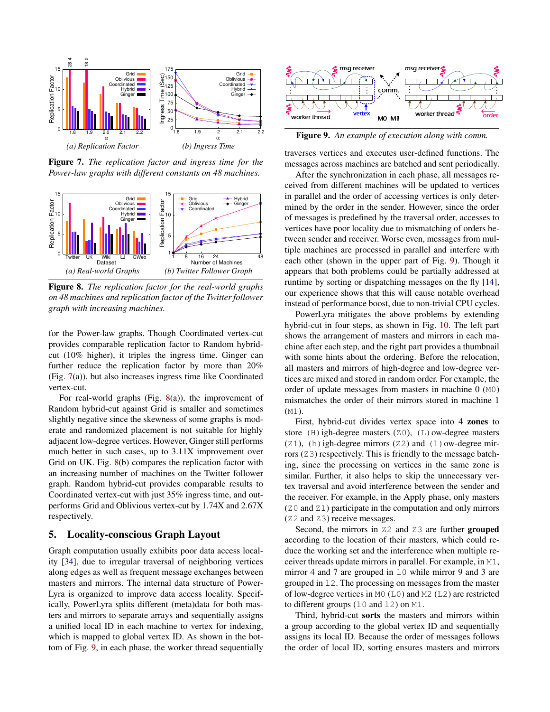

<span id="page-7-1"></span>Figure 7. *The replication factor and ingress time for the Power-law graphs with different constants on 48 machines.*



<span id="page-7-2"></span>Figure 8. *The replication factor for the real-world graphs on 48 machines and replication factor of the Twitter follower graph with increasing machines.*

for the Power-law graphs. Though Coordinated vertex-cut provides comparable replication factor to Random hybridcut (10% higher), it triples the ingress time. Ginger can further reduce the replication factor by more than 20% (Fig. [7\(](#page-7-1)a)), but also increases ingress time like Coordinated vertex-cut.

For real-world graphs (Fig. [8\(](#page-7-2)a)), the improvement of Random hybrid-cut against Grid is smaller and sometimes slightly negative since the skewness of some graphs is moderate and randomized placement is not suitable for highly adjacent low-degree vertices. However, Ginger still performs much better in such cases, up to 3.11X improvement over Grid on UK. Fig. [8\(](#page-7-2)b) compares the replication factor with an increasing number of machines on the Twitter follower graph. Random hybrid-cut provides comparable results to Coordinated vertex-cut with just 35% ingress time, and outperforms Grid and Oblivious vertex-cut by 1.74X and 2.67X respectively.

## <span id="page-7-0"></span>5. Locality-conscious Graph Layout

Graph computation usually exhibits poor data access locality [\[34\]](#page-14-18), due to irregular traversal of neighboring vertices along edges as well as frequent message exchanges between masters and mirrors. The internal data structure of Power-Lyra is organized to improve data access locality. Specifically, PowerLyra splits different (meta)data for both masters and mirrors to separate arrays and sequentially assigns a unified local ID in each machine to vertex for indexing, which is mapped to global vertex ID. As shown in the bottom of Fig. [9,](#page-7-3) in each phase, the worker thread sequentially



<span id="page-7-3"></span>Figure 9. *An example of execution along with comm.*

traverses vertices and executes user-defined functions. The messages across machines are batched and sent periodically.

After the synchronization in each phase, all messages received from different machines will be updated to vertices in parallel and the order of accessing vertices is only determined by the order in the sender. However, since the order of messages is predefined by the traversal order, accesses to vertices have poor locality due to mismatching of orders between sender and receiver. Worse even, messages from multiple machines are processed in parallel and interfere with each other (shown in the upper part of Fig. [9\)](#page-7-3). Though it appears that both problems could be partially addressed at runtime by sorting or dispatching messages on the fly [\[14](#page-13-15)], our experience shows that this will cause notable overhead instead of performance boost, due to non-trivial CPU cycles.

PowerLyra mitigates the above problems by extending hybrid-cut in four steps, as shown in Fig. [10.](#page-8-1) The left part shows the arrangement of masters and mirrors in each machine after each step, and the right part provides a thumbnail with some hints about the ordering. Before the relocation, all masters and mirrors of high-degree and low-degree vertices are mixed and stored in random order. For example, the order of update messages from masters in machine 0 (M0) mismatches the order of their mirrors stored in machine 1 (M1).

First, hybrid-cut divides vertex space into 4 zones to store (H) igh-degree masters ( $Z0$ ), (L) ow-degree masters  $(Z1)$ , (h) igh-degree mirrors  $(Z2)$  and  $(1)$  ow-degree mirrors (Z3) respectively. This is friendly to the message batching, since the processing on vertices in the same zone is similar. Further, it also helps to skip the unnecessary vertex traversal and avoid interference between the sender and the receiver. For example, in the Apply phase, only masters (Z0 and Z1) participate in the computation and only mirrors (Z2 and Z3) receive messages.

Second, the mirrors in  $Z2$  and  $Z3$  are further grouped according to the location of their masters, which could reduce the working set and the interference when multiple receiver threads update mirrors in parallel. For example, in M1, mirror 4 and 7 are grouped in 10 while mirror 9 and 3 are grouped in l2. The processing on messages from the master of low-degree vertices in M0 (L0) and M2 (L2) are restricted to different groups  $(10 \text{ and } 12)$  on M1.

Third, hybrid-cut sorts the masters and mirrors within a group according to the global vertex ID and sequentially assigns its local ID. Because the order of messages follows the order of local ID, sorting ensures masters and mirrors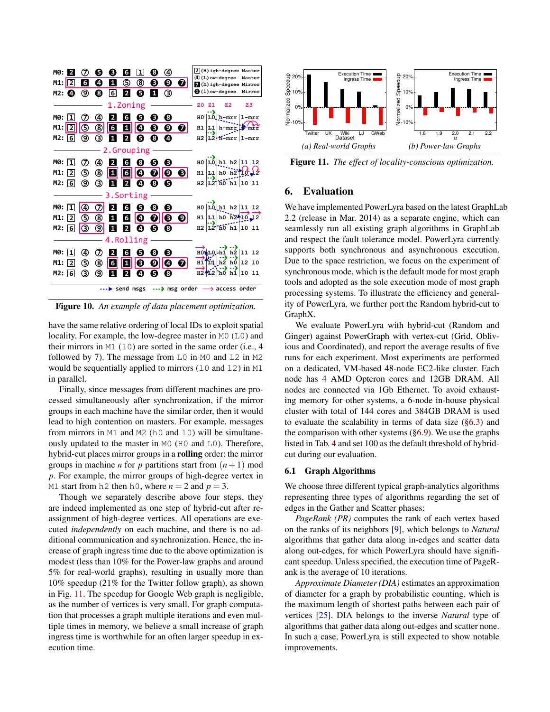

<span id="page-8-1"></span>Figure 10. *An example of data placement optimization.*

have the same relative ordering of local IDs to exploit spatial locality. For example, the low-degree master in M0 (L0) and their mirrors in  $M1 (10)$  are sorted in the same order (i.e., 4 followed by 7). The message from L0 in M0 and L2 in M2 would be sequentially applied to mirrors  $(10 \text{ and } 12)$  in M1 in parallel.

Finally, since messages from different machines are processed simultaneously after synchronization, if the mirror groups in each machine have the similar order, then it would lead to high contention on masters. For example, messages from mirrors in  $M1$  and  $M2$  (h0 and 10) will be simultaneously updated to the master in M0 (H0 and L0). Therefore, hybrid-cut places mirror groups in a rolling order: the mirror groups in machine *n* for *p* partitions start from  $(n+1)$  mod *p*. For example, the mirror groups of high-degree vertex in M1 start from h2 then h0, where  $n = 2$  and  $p = 3$ .

Though we separately describe above four steps, they are indeed implemented as one step of hybrid-cut after reassignment of high-degree vertices. All operations are executed *independently* on each machine, and there is no additional communication and synchronization. Hence, the increase of graph ingress time due to the above optimization is modest (less than 10% for the Power-law graphs and around 5% for real-world graphs), resulting in usually more than 10% speedup (21% for the Twitter follow graph), as shown in Fig. [11.](#page-8-2) The speedup for Google Web graph is negligible, as the number of vertices is very small. For graph computation that processes a graph multiple iterations and even multiple times in memory, we believe a small increase of graph ingress time is worthwhile for an often larger speedup in execution time.



<span id="page-8-2"></span>Figure 11. *The effect of locality-conscious optimization.*

## <span id="page-8-0"></span>6. Evaluation

We have implemented PowerLyra based on the latest GraphLab 2.2 (release in Mar. 2014) as a separate engine, which can seamlessly run all existing graph algorithms in GraphLab and respect the fault tolerance model. PowerLyra currently supports both synchronous and asynchronous execution. Due to the space restriction, we focus on the experiment of synchronous mode, which is the default mode for most graph tools and adopted as the sole execution mode of most graph processing systems. To illustrate the efficiency and generality of PowerLyra, we further port the Random hybrid-cut to GraphX.

We evaluate PowerLyra with hybrid-cut (Random and Ginger) against PowerGraph with vertex-cut (Grid, Oblivious and Coordinated), and report the average results of five runs for each experiment. Most experiments are performed on a dedicated, VM-based 48-node EC2-like cluster. Each node has 4 AMD Opteron cores and 12GB DRAM. All nodes are connected via 1Gb Ethernet. To avoid exhausting memory for other systems, a 6-node in-house physical cluster with total of 144 cores and 384GB DRAM is used to evaluate the scalability in terms of data size ([§6.3\)](#page-9-0) and the comparison with other systems  $(\S6.9)$ . We use the graphs listed in Tab. [4](#page-6-1) and set 100 as the default threshold of hybridcut during our evaluation.

#### 6.1 Graph Algorithms

We choose three different typical graph-analytics algorithms representing three types of algorithms regarding the set of edges in the Gather and Scatter phases:

*PageRank (PR)* computes the rank of each vertex based on the ranks of its neighbors [\[9](#page-13-0)], which belongs to *Natural* algorithms that gather data along in-edges and scatter data along out-edges, for which PowerLyra should have significant speedup. Unless specified, the execution time of PageRank is the average of 10 iterations.

*Approximate Diameter (DIA)* estimates an approximation of diameter for a graph by probabilistic counting, which is the maximum length of shortest paths between each pair of vertices [\[25](#page-13-16)]. DIA belongs to the inverse *Natural* type of algorithms that gather data along out-edges and scatter none. In such a case, PowerLyra is still expected to show notable improvements.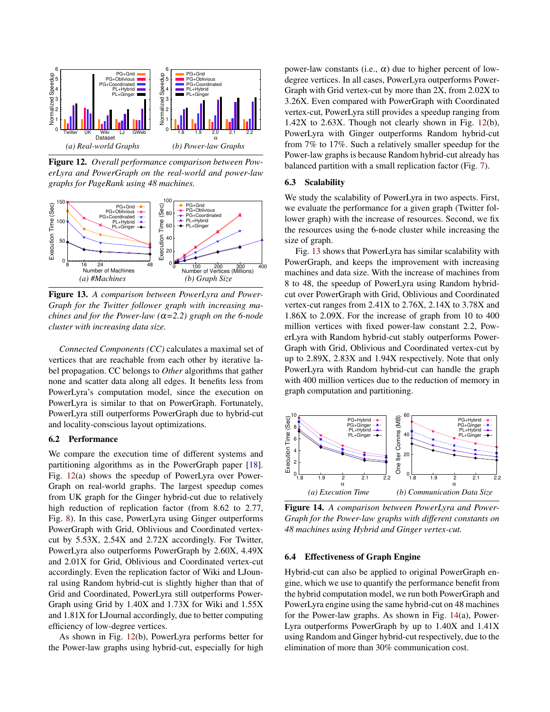

<span id="page-9-1"></span>Figure 12. *Overall performance comparison between PowerLyra and PowerGraph on the real-world and power-law graphs for PageRank using 48 machines.*



<span id="page-9-2"></span>Figure 13. *A comparison between PowerLyra and Power-Graph for the Twitter follower graph with increasing machines and for the Power-law (*α*=2.2) graph on the 6-node cluster with increasing data size.*

*Connected Components (CC)* calculates a maximal set of vertices that are reachable from each other by iterative label propagation. CC belongs to *Other* algorithms that gather none and scatter data along all edges. It benefits less from PowerLyra's computation model, since the execution on PowerLyra is similar to that on PowerGraph. Fortunately, PowerLyra still outperforms PowerGraph due to hybrid-cut and locality-conscious layout optimizations.

## 6.2 Performance

We compare the execution time of different systems and partitioning algorithms as in the PowerGraph paper [\[18](#page-13-2)]. Fig. [12\(](#page-9-1)a) shows the speedup of PowerLyra over Power-Graph on real-world graphs. The largest speedup comes from UK graph for the Ginger hybrid-cut due to relatively high reduction of replication factor (from 8.62 to 2.77, Fig. [8\)](#page-7-2). In this case, PowerLyra using Ginger outperforms PowerGraph with Grid, Oblivious and Coordinated vertexcut by 5.53X, 2.54X and 2.72X accordingly. For Twitter, PowerLyra also outperforms PowerGraph by 2.60X, 4.49X and 2.01X for Grid, Oblivious and Coordinated vertex-cut accordingly. Even the replication factor of Wiki and LJounral using Random hybrid-cut is slightly higher than that of Grid and Coordinated, PowerLyra still outperforms Power-Graph using Grid by 1.40X and 1.73X for Wiki and 1.55X and 1.81X for LJournal accordingly, due to better computing efficiency of low-degree vertices.

As shown in Fig. [12\(](#page-9-1)b), PowerLyra performs better for the Power-law graphs using hybrid-cut, especially for high power-law constants (i.e.,  $\alpha$ ) due to higher percent of lowdegree vertices. In all cases, PowerLyra outperforms Power-Graph with Grid vertex-cut by more than 2X, from 2.02X to 3.26X. Even compared with PowerGraph with Coordinated vertex-cut, PowerLyra still provides a speedup ranging from 1.42X to 2.63X. Though not clearly shown in Fig. [12\(](#page-9-1)b), PowerLyra with Ginger outperforms Random hybrid-cut from 7% to 17%. Such a relatively smaller speedup for the Power-law graphs is because Random hybrid-cut already has balanced partition with a small replication factor (Fig. [7\)](#page-7-1).

#### <span id="page-9-0"></span>6.3 Scalability

We study the scalability of PowerLyra in two aspects. First, we evaluate the performance for a given graph (Twitter follower graph) with the increase of resources. Second, we fix the resources using the 6-node cluster while increasing the size of graph.

Fig. [13](#page-9-2) shows that PowerLyra has similar scalability with PowerGraph, and keeps the improvement with increasing machines and data size. With the increase of machines from 8 to 48, the speedup of PowerLyra using Random hybridcut over PowerGraph with Grid, Oblivious and Coordinated vertex-cut ranges from 2.41X to 2.76X, 2.14X to 3.78X and 1.86X to 2.09X. For the increase of graph from 10 to 400 million vertices with fixed power-law constant 2.2, PowerLyra with Random hybrid-cut stably outperforms Power-Graph with Grid, Oblivious and Coordinated vertex-cut by up to 2.89X, 2.83X and 1.94X respectively. Note that only PowerLyra with Random hybrid-cut can handle the graph with 400 million vertices due to the reduction of memory in graph computation and partitioning.



<span id="page-9-3"></span>Figure 14. *A comparison between PowerLyra and Power-Graph for the Power-law graphs with different constants on 48 machines using Hybrid and Ginger vertex-cut.*

#### 6.4 Effectiveness of Graph Engine

Hybrid-cut can also be applied to original PowerGraph engine, which we use to quantify the performance benefit from the hybrid computation model, we run both PowerGraph and PowerLyra engine using the same hybrid-cut on 48 machines for the Power-law graphs. As shown in Fig. [14\(](#page-9-3)a), Power-Lyra outperforms PowerGraph by up to 1.40X and 1.41X using Random and Ginger hybrid-cut respectively, due to the elimination of more than 30% communication cost.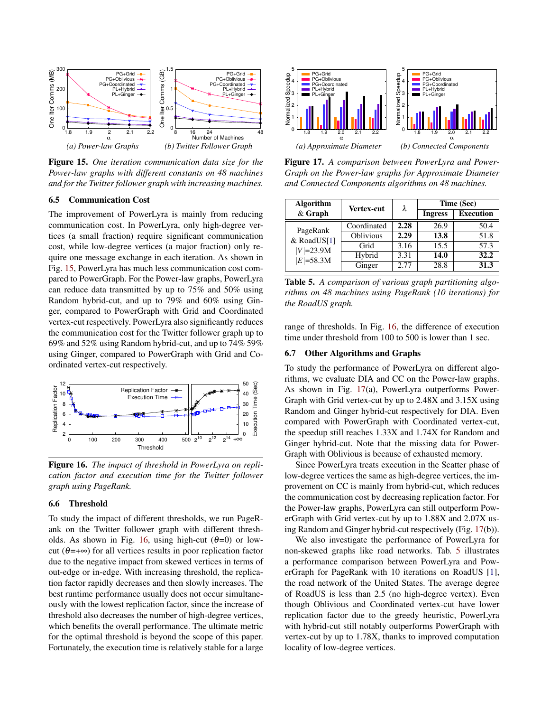

<span id="page-10-0"></span>Figure 15. *One iteration communication data size for the Power-law graphs with different constants on 48 machines and for the Twitter follower graph with increasing machines.*

## 6.5 Communication Cost

The improvement of PowerLyra is mainly from reducing communication cost. In PowerLyra, only high-degree vertices (a small fraction) require significant communication cost, while low-degree vertices (a major fraction) only require one message exchange in each iteration. As shown in Fig. [15,](#page-10-0) PowerLyra has much less communication cost compared to PowerGraph. For the Power-law graphs, PowerLyra can reduce data transmitted by up to 75% and 50% using Random hybrid-cut, and up to 79% and 60% using Ginger, compared to PowerGraph with Grid and Coordinated vertex-cut respectively. PowerLyra also significantly reduces the communication cost for the Twitter follower graph up to 69% and 52% using Random hybrid-cut, and up to 74% 59% using Ginger, compared to PowerGraph with Grid and Coordinated vertex-cut respectively.



<span id="page-10-1"></span>Figure 16. *The impact of threshold in PowerLyra on replication factor and execution time for the Twitter follower graph using PageRank.*

#### 6.6 Threshold

To study the impact of different thresholds, we run PageRank on the Twitter follower graph with different thresh-olds. As shown in Fig. [16,](#page-10-1) using high-cut  $(\theta=0)$  or lowcut ( $\theta$ =+∞) for all vertices results in poor replication factor due to the negative impact from skewed vertices in terms of out-edge or in-edge. With increasing threshold, the replication factor rapidly decreases and then slowly increases. The best runtime performance usually does not occur simultaneously with the lowest replication factor, since the increase of threshold also decreases the number of high-degree vertices, which benefits the overall performance. The ultimate metric for the optimal threshold is beyond the scope of this paper. Fortunately, the execution time is relatively stable for a large



<span id="page-10-2"></span>Figure 17. *A comparison between PowerLyra and Power-Graph on the Power-law graphs for Approximate Diameter and Connected Components algorithms on 48 machines.*

| <b>Algorithm</b>                          | <b>Vertex-cut</b> | λ    | Time (Sec)     |                  |  |  |
|-------------------------------------------|-------------------|------|----------------|------------------|--|--|
| $&$ Graph                                 |                   |      | <b>Ingress</b> | <b>Execution</b> |  |  |
| PageRank                                  | Coordinated       | 2.28 | 26.9           | 50.4             |  |  |
| & RoadUS[1]<br>$ V =23.9M$<br>$ E =58.3M$ | Oblivious         | 2.29 | 13.8           | 51.8             |  |  |
|                                           | Grid              | 3.16 | 15.5           | 57.3             |  |  |
|                                           | Hybrid            | 3.31 | 14.0           | 32.2             |  |  |
|                                           | Ginger            | 2.77 | 28.8           | 31.3             |  |  |

<span id="page-10-3"></span>Table 5. *A comparison of various graph partitioning algorithms on 48 machines using PageRank (10 iterations) for the RoadUS graph.*

range of thresholds. In Fig. [16,](#page-10-1) the difference of execution time under threshold from 100 to 500 is lower than 1 sec.

#### 6.7 Other Algorithms and Graphs

To study the performance of PowerLyra on different algorithms, we evaluate DIA and CC on the Power-law graphs. As shown in Fig. [17\(](#page-10-2)a), PowerLyra outperforms Power-Graph with Grid vertex-cut by up to 2.48X and 3.15X using Random and Ginger hybrid-cut respectively for DIA. Even compared with PowerGraph with Coordinated vertex-cut, the speedup still reaches 1.33X and 1.74X for Random and Ginger hybrid-cut. Note that the missing data for Power-Graph with Oblivious is because of exhausted memory.

Since PowerLyra treats execution in the Scatter phase of low-degree vertices the same as high-degree vertices, the improvement on CC is mainly from hybrid-cut, which reduces the communication cost by decreasing replication factor. For the Power-law graphs, PowerLyra can still outperform PowerGraph with Grid vertex-cut by up to 1.88X and 2.07X using Random and Ginger hybrid-cut respectively (Fig. [17\(](#page-10-2)b)).

We also investigate the performance of PowerLyra for non-skewed graphs like road networks. Tab. [5](#page-10-3) illustrates a performance comparison between PowerLyra and PowerGraph for PageRank with 10 iterations on RoadUS [\[1](#page-13-24)], the road network of the United States. The average degree of RoadUS is less than 2.5 (no high-degree vertex). Even though Oblivious and Coordinated vertex-cut have lower replication factor due to the greedy heuristic, PowerLyra with hybrid-cut still notably outperforms PowerGraph with vertex-cut by up to 1.78X, thanks to improved computation locality of low-degree vertices.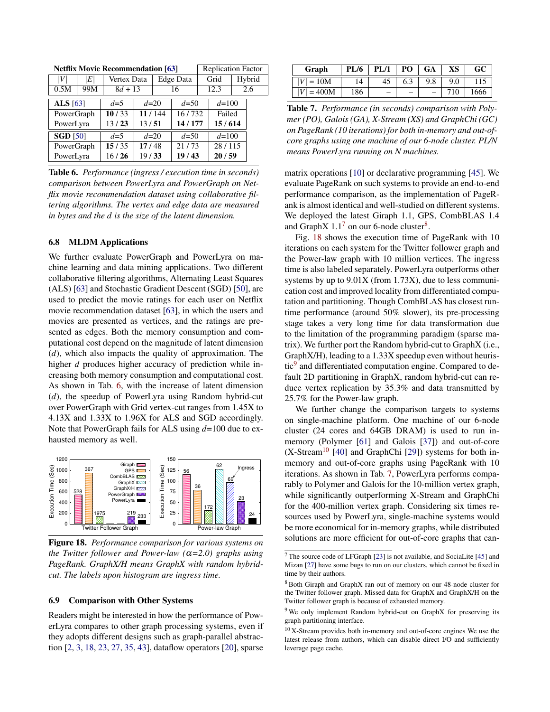| <b>Netflix Movie Recommendation [63]</b> |     |             |          |                  |          | <b>Replication Factor</b> |           |        |     |
|------------------------------------------|-----|-------------|----------|------------------|----------|---------------------------|-----------|--------|-----|
| V                                        | E   | Vertex Data |          | <b>Edge Data</b> |          | Grid                      |           | Hybrid |     |
| 0.5M                                     | 99M | $8d + 13$   | 16       |                  |          | 12.3                      |           |        | 2.6 |
| <b>ALS</b> [63]                          |     | $d=5$       | $d = 20$ |                  | $d = 50$ |                           | $d = 100$ |        |     |
| PowerGraph                               |     | 10/33       |          | 11/144           | 16/732   |                           | Failed    |        |     |
| PowerLyra                                |     | 13/23       | 13/51    |                  | 14/177   |                           | 15/614    |        |     |
| <b>SGD</b> [50]                          |     | $d=5$       | $d = 20$ |                  | $d = 50$ |                           | $d = 100$ |        |     |
| PowerGraph                               |     | 15/35       | 17/48    |                  | 21/73    |                           | 28/115    |        |     |
| PowerLyra                                |     | 16/26       | 19/33    |                  | 19/43    |                           | 20/59     |        |     |

<span id="page-11-1"></span>Table 6. *Performance (ingress / execution time in seconds) comparison between PowerLyra and PowerGraph on Netflix movie recommendation dataset using collaborative filtering algorithms. The vertex and edge data are measured in bytes and the d is the size of the latent dimension.*

## 6.8 MLDM Applications

We further evaluate PowerGraph and PowerLyra on machine learning and data mining applications. Two different collaborative filtering algorithms, Alternating Least Squares (ALS) [\[63\]](#page-14-19) and Stochastic Gradient Descent (SGD) [\[50](#page-14-20)], are used to predict the movie ratings for each user on Netflix movie recommendation dataset [\[63\]](#page-14-19), in which the users and movies are presented as vertices, and the ratings are presented as edges. Both the memory consumption and computational cost depend on the magnitude of latent dimension (*d*), which also impacts the quality of approximation. The higher *d* produces higher accuracy of prediction while increasing both memory consumption and computational cost. As shown in Tab. [6,](#page-11-1) with the increase of latent dimension (*d*), the speedup of PowerLyra using Random hybrid-cut over PowerGraph with Grid vertex-cut ranges from 1.45X to 4.13X and 1.33X to 1.96X for ALS and SGD accordingly. Note that PowerGraph fails for ALS using *d*=100 due to exhausted memory as well.



<span id="page-11-4"></span>Figure 18. *Performance comparison for various systems on the Twitter follower and Power-law (*α*=2.0) graphs using PageRank. GraphX/H means GraphX with random hybridcut. The labels upon histogram are ingress time.*

#### <span id="page-11-0"></span>6.9 Comparison with Other Systems

Readers might be interested in how the performance of PowerLyra compares to other graph processing systems, even if they adopts different designs such as graph-parallel abstraction [\[2](#page-13-8), [3,](#page-13-9) [18](#page-13-2), [23](#page-13-12), [27,](#page-13-25) [35](#page-14-4), [43](#page-14-11)], dataflow operators [\[20](#page-13-6)], sparse

| Graph   | <b>PL/6</b> | PL/1 | PО  | <b>GA</b> | XS  | GC    |
|---------|-------------|------|-----|-----------|-----|-------|
| $=10M$  | 14          | 45   | 0.3 | 9.8       | 9.0 |       |
| $=400M$ | 186         |      |     |           |     | ' 666 |

<span id="page-11-7"></span>Table 7. *Performance (in seconds) comparison with Polymer (PO), Galois (GA), X-Stream (XS) and GraphChi (GC) on PageRank (10 iterations) for both in-memory and out-ofcore graphs using one machine of our 6-node cluster. PL/N means PowerLyra running on N machines.*

matrix operations [\[10\]](#page-13-26) or declarative programming [\[45\]](#page-14-21). We evaluate PageRank on such systems to provide an end-to-end performance comparison, as the implementation of PageRank is almost identical and well-studied on different systems. We deployed the latest Giraph 1.1, GPS, CombBLAS 1.4 and GraphX  $1.1<sup>7</sup>$  $1.1<sup>7</sup>$  $1.1<sup>7</sup>$  on our 6-node cluster<sup>[8](#page-11-3)</sup>.

Fig. [18](#page-11-4) shows the execution time of PageRank with 10 iterations on each system for the Twitter follower graph and the Power-law graph with 10 million vertices. The ingress time is also labeled separately. PowerLyra outperforms other systems by up to 9.01X (from 1.73X), due to less communication cost and improved locality from differentiated computation and partitioning. Though CombBLAS has closest runtime performance (around 50% slower), its pre-processing stage takes a very long time for data transformation due to the limitation of the programming paradigm (sparse matrix). We further port the Random hybrid-cut to GraphX (i.e., GraphX/H), leading to a 1.33X speedup even without heuris-tic<sup>[9](#page-11-5)</sup> and differentiated computation engine. Compared to default 2D partitioning in GraphX, random hybrid-cut can reduce vertex replication by 35.3% and data transmitted by 25.7% for the Power-law graph.

We further change the comparison targets to systems on single-machine platform. One machine of our 6-node cluster (24 cores and 64GB DRAM) is used to run inmemory (Polymer [\[61\]](#page-14-22) and Galois [\[37\]](#page-14-23)) and out-of-core  $(X-Stream<sup>10</sup> [40]$  $(X-Stream<sup>10</sup> [40]$  $(X-Stream<sup>10</sup> [40]$  $(X-Stream<sup>10</sup> [40]$  and GraphChi [\[29](#page-13-27)]) systems for both inmemory and out-of-core graphs using PageRank with 10 iterations. As shown in Tab. [7,](#page-11-7) PowerLyra performs comparably to Polymer and Galois for the 10-million vertex graph, while significantly outperforming X-Stream and GraphChi for the 400-million vertex graph. Considering six times resources used by PowerLyra, single-machine systems would be more economical for in-memory graphs, while distributed solutions are more efficient for out-of-core graphs that can-

<span id="page-11-2"></span><sup>7</sup> The source code of LFGraph [\[23](#page-13-12)] is not available, and SociaLite [\[45\]](#page-14-21) and Mizan [\[27\]](#page-13-25) have some bugs to run on our clusters, which cannot be fixed in time by their authors.

<span id="page-11-3"></span><sup>8</sup> Both Giraph and GraphX ran out of memory on our 48-node cluster for the Twitter follower graph. Missed data for GraphX and GraphX/H on the Twitter follower graph is because of exhausted memory.

<span id="page-11-5"></span><sup>9</sup> We only implement Random hybrid-cut on GraphX for preserving its graph partitioning interface.

<span id="page-11-6"></span> $10$  X-Stream provides both in-memory and out-of-core engines We use the latest release from authors, which can disable direct I/O and sufficiently leverage page cache.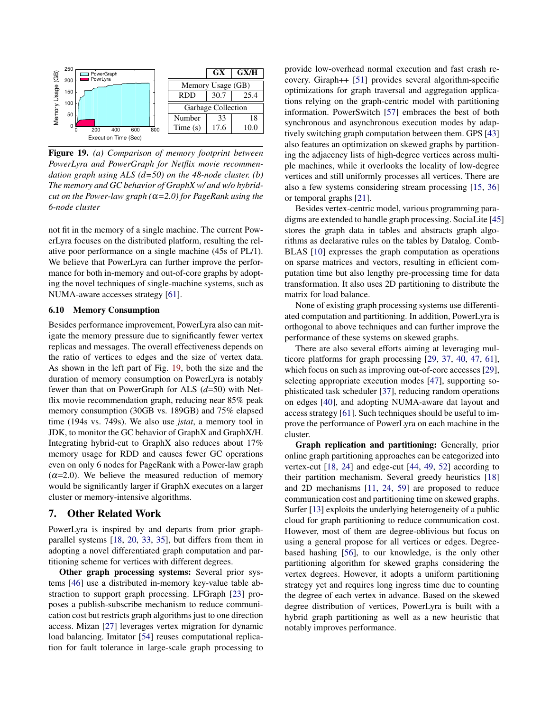

<span id="page-12-0"></span>Figure 19. *(a) Comparison of memory footprint between PowerLyra and PowerGraph for Netflix movie recommendation graph using ALS (d=50) on the 48-node cluster. (b) The memory and GC behavior of GraphX w/ and w/o hybridcut on the Power-law graph (*α*=2.0) for PageRank using the 6-node cluster*

not fit in the memory of a single machine. The current PowerLyra focuses on the distributed platform, resulting the relative poor performance on a single machine (45s of PL/1). We believe that PowerLyra can further improve the performance for both in-memory and out-of-core graphs by adopting the novel techniques of single-machine systems, such as NUMA-aware accesses strategy [\[61](#page-14-22)].

#### 6.10 Memory Consumption

Besides performance improvement, PowerLyra also can mitigate the memory pressure due to significantly fewer vertex replicas and messages. The overall effectiveness depends on the ratio of vertices to edges and the size of vertex data. As shown in the left part of Fig. [19,](#page-12-0) both the size and the duration of memory consumption on PowerLyra is notably fewer than that on PowerGraph for ALS (*d*=50) with Netflix movie recommendation graph, reducing near 85% peak memory consumption (30GB vs. 189GB) and 75% elapsed time (194s vs. 749s). We also use *jstat*, a memory tool in JDK, to monitor the GC behavior of GraphX and GraphX/H. Integrating hybrid-cut to GraphX also reduces about 17% memory usage for RDD and causes fewer GC operations even on only 6 nodes for PageRank with a Power-law graph  $(\alpha=2.0)$ . We believe the measured reduction of memory would be significantly larger if GraphX executes on a larger cluster or memory-intensive algorithms.

## 7. Other Related Work

PowerLyra is inspired by and departs from prior graphparallel systems [\[18,](#page-13-2) [20,](#page-13-6) [33](#page-14-5), [35](#page-14-4)], but differs from them in adopting a novel differentiated graph computation and partitioning scheme for vertices with different degrees.

Other graph processing systems: Several prior systems [\[46\]](#page-14-25) use a distributed in-memory key-value table abstraction to support graph processing. LFGraph [\[23\]](#page-13-12) proposes a publish-subscribe mechanism to reduce communication cost but restricts graph algorithms just to one direction access. Mizan [\[27](#page-13-25)] leverages vertex migration for dynamic load balancing. Imitator [\[54\]](#page-14-26) reuses computational replication for fault tolerance in large-scale graph processing to

provide low-overhead normal execution and fast crash recovery. Giraph++ [\[51](#page-14-27)] provides several algorithm-specific optimizations for graph traversal and aggregation applications relying on the graph-centric model with partitioning information. PowerSwitch [\[57\]](#page-14-28) embraces the best of both synchronous and asynchronous execution modes by adaptively switching graph computation between them. GPS [\[43\]](#page-14-11) also features an optimization on skewed graphs by partitioning the adjacency lists of high-degree vertices across multiple machines, while it overlooks the locality of low-degree vertices and still uniformly processes all vertices. There are also a few systems considering stream processing [\[15,](#page-13-28) [36\]](#page-14-29) or temporal graphs [\[21](#page-13-29)].

Besides vertex-centric model, various programming paradigms are extended to handle graph processing. SociaLite [\[45](#page-14-21)] stores the graph data in tables and abstracts graph algorithms as declarative rules on the tables by Datalog. Comb-BLAS [\[10](#page-13-26)] expresses the graph computation as operations on sparse matrices and vectors, resulting in efficient computation time but also lengthy pre-processing time for data transformation. It also uses 2D partitioning to distribute the matrix for load balance.

None of existing graph processing systems use differentiated computation and partitioning. In addition, PowerLyra is orthogonal to above techniques and can further improve the performance of these systems on skewed graphs.

There are also several efforts aiming at leveraging multicore platforms for graph processing [\[29](#page-13-27), [37](#page-14-23), [40](#page-14-24), [47](#page-14-30), [61](#page-14-22)], which focus on such as improving out-of-core accesses [\[29](#page-13-27)], selecting appropriate execution modes [\[47\]](#page-14-30), supporting sophisticated task scheduler [\[37\]](#page-14-23), reducing random operations on edges [\[40](#page-14-24)], and adopting NUMA-aware dat layout and access strategy [\[61](#page-14-22)]. Such techniques should be useful to improve the performance of PowerLyra on each machine in the cluster.

Graph replication and partitioning: Generally, prior online graph partitioning approaches can be categorized into vertex-cut [\[18](#page-13-2), [24](#page-13-11)] and edge-cut [\[44](#page-14-8), [49](#page-14-9), [52](#page-14-10)] according to their partition mechanism. Several greedy heuristics [\[18\]](#page-13-2) and 2D mechanisms [\[11](#page-13-14), [24,](#page-13-11) [59\]](#page-14-17) are proposed to reduce communication cost and partitioning time on skewed graphs. Surfer [\[13\]](#page-13-30) exploits the underlying heterogeneity of a public cloud for graph partitioning to reduce communication cost. However, most of them are degree-oblivious but focus on using a general propose for all vertices or edges. Degreebased hashing [\[56](#page-14-31)], to our knowledge, is the only other partitioning algorithm for skewed graphs considering the vertex degrees. However, it adopts a uniform partitioning strategy yet and requires long ingress time due to counting the degree of each vertex in advance. Based on the skewed degree distribution of vertices, PowerLyra is built with a hybrid graph partitioning as well as a new heuristic that notably improves performance.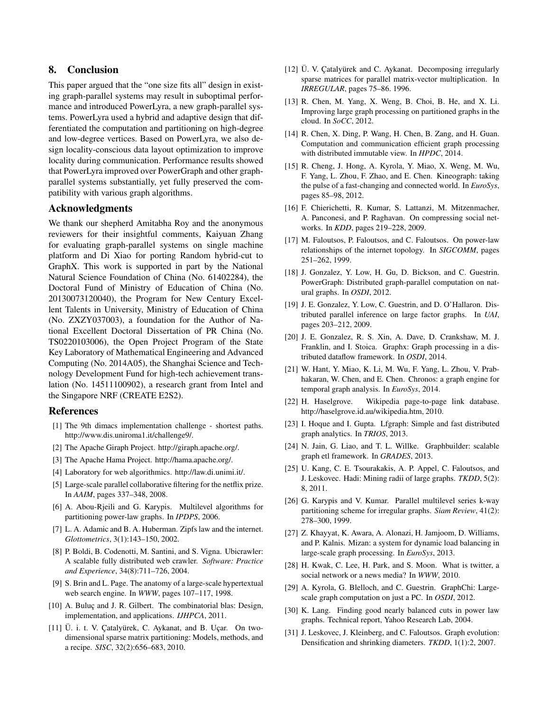# 8. Conclusion

This paper argued that the "one size fits all" design in existing graph-parallel systems may result in suboptimal performance and introduced PowerLyra, a new graph-parallel systems. PowerLyra used a hybrid and adaptive design that differentiated the computation and partitioning on high-degree and low-degree vertices. Based on PowerLyra, we also design locality-conscious data layout optimization to improve locality during communication. Performance results showed that PowerLyra improved over PowerGraph and other graphparallel systems substantially, yet fully preserved the compatibility with various graph algorithms.

## Acknowledgments

We thank our shepherd Amitabha Roy and the anonymous reviewers for their insightful comments, Kaiyuan Zhang for evaluating graph-parallel systems on single machine platform and Di Xiao for porting Random hybrid-cut to GraphX. This work is supported in part by the National Natural Science Foundation of China (No. 61402284), the Doctoral Fund of Ministry of Education of China (No. 20130073120040), the Program for New Century Excellent Talents in University, Ministry of Education of China (No. ZXZY037003), a foundation for the Author of National Excellent Doctoral Dissertation of PR China (No. TS0220103006), the Open Project Program of the State Key Laboratory of Mathematical Engineering and Advanced Computing (No. 2014A05), the Shanghai Science and Technology Development Fund for high-tech achievement translation (No. 14511100902), a research grant from Intel and the Singapore NRF (CREATE E2S2).

#### References

- <span id="page-13-24"></span>[1] The 9th dimacs implementation challenge - shortest paths. http://www.dis.uniroma1.it/challenge9/.
- <span id="page-13-8"></span>[2] The Apache Giraph Project. http://giraph.apache.org/.
- <span id="page-13-9"></span>[3] The Apache Hama Project. http://hama.apache.org/.
- <span id="page-13-22"></span>[4] Laboratory for web algorithmics. http://law.di.unimi.it/.
- <span id="page-13-17"></span>[5] Large-scale parallel collaborative filtering for the netflix prize. In *AAIM*, pages 337–348, 2008.
- <span id="page-13-5"></span>[6] A. Abou-Rjeili and G. Karypis. Multilevel algorithms for partitioning power-law graphs. In *IPDPS*, 2006.
- <span id="page-13-23"></span>[7] L. A. Adamic and B. A. Huberman. Zipfs law and the internet. *Glottometrics*, 3(1):143–150, 2002.
- <span id="page-13-19"></span>[8] P. Boldi, B. Codenotti, M. Santini, and S. Vigna. Ubicrawler: A scalable fully distributed web crawler. *Software: Practice and Experience*, 34(8):711–726, 2004.
- <span id="page-13-0"></span>[9] S. Brin and L. Page. The anatomy of a large-scale hypertextual web search engine. In *WWW*, pages 107–117, 1998.
- <span id="page-13-26"></span>[10] A. Buluç and J. R. Gilbert. The combinatorial blas: Design, implementation, and applications. *IJHPCA*, 2011.
- <span id="page-13-14"></span>[11] Ü. i. t. V. Çatalyürek, C. Aykanat, and B. Uçar. On twodimensional sparse matrix partitioning: Models, methods, and a recipe. *SISC*, 32(2):656–683, 2010.
- <span id="page-13-10"></span>[12] Ü. V. Çatalyürek and C. Aykanat. Decomposing irregularly sparse matrices for parallel matrix-vector multiplication. In *IRREGULAR*, pages 75–86. 1996.
- <span id="page-13-30"></span>[13] R. Chen, M. Yang, X. Weng, B. Choi, B. He, and X. Li. Improving large graph processing on partitioned graphs in the cloud. In *SoCC*, 2012.
- <span id="page-13-15"></span>[14] R. Chen, X. Ding, P. Wang, H. Chen, B. Zang, and H. Guan. Computation and communication efficient graph processing with distributed immutable view. In *HPDC*, 2014.
- <span id="page-13-28"></span>[15] R. Cheng, J. Hong, A. Kyrola, Y. Miao, X. Weng, M. Wu, F. Yang, L. Zhou, F. Zhao, and E. Chen. Kineograph: taking the pulse of a fast-changing and connected world. In *EuroSys*, pages 85–98, 2012.
- <span id="page-13-21"></span>[16] F. Chierichetti, R. Kumar, S. Lattanzi, M. Mitzenmacher, A. Panconesi, and P. Raghavan. On compressing social networks. In *KDD*, pages 219–228, 2009.
- <span id="page-13-4"></span>[17] M. Faloutsos, P. Faloutsos, and C. Faloutsos. On power-law relationships of the internet topology. In *SIGCOMM*, pages 251–262, 1999.
- <span id="page-13-2"></span>[18] J. Gonzalez, Y. Low, H. Gu, D. Bickson, and C. Guestrin. PowerGraph: Distributed graph-parallel computation on natural graphs. In *OSDI*, 2012.
- <span id="page-13-1"></span>[19] J. E. Gonzalez, Y. Low, C. Guestrin, and D. O'Hallaron. Distributed parallel inference on large factor graphs. In *UAI*, pages 203–212, 2009.
- <span id="page-13-6"></span>[20] J. E. Gonzalez, R. S. Xin, A. Dave, D. Crankshaw, M. J. Franklin, and I. Stoica. Graphx: Graph processing in a distributed dataflow framework. In *OSDI*, 2014.
- <span id="page-13-29"></span>[21] W. Hant, Y. Miao, K. Li, M. Wu, F. Yang, L. Zhou, V. Prabhakaran, W. Chen, and E. Chen. Chronos: a graph engine for temporal graph analysis. In *EuroSys*, 2014.
- <span id="page-13-20"></span>[22] H. Haselgrove. Wikipedia page-to-page link database. http://haselgrove.id.au/wikipedia.htm, 2010.
- <span id="page-13-12"></span>[23] I. Hoque and I. Gupta. Lfgraph: Simple and fast distributed graph analytics. In *TRIOS*, 2013.
- <span id="page-13-11"></span>[24] N. Jain, G. Liao, and T. L. Willke. Graphbuilder: scalable graph etl framework. In *GRADES*, 2013.
- <span id="page-13-16"></span>[25] U. Kang, C. E. Tsourakakis, A. P. Appel, C. Faloutsos, and J. Leskovec. Hadi: Mining radii of large graphs. *TKDD*, 5(2): 8, 2011.
- <span id="page-13-7"></span>[26] G. Karypis and V. Kumar. Parallel multilevel series k-way partitioning scheme for irregular graphs. *Siam Review*, 41(2): 278–300, 1999.
- <span id="page-13-25"></span>[27] Z. Khayyat, K. Awara, A. Alonazi, H. Jamjoom, D. Williams, and P. Kalnis. Mizan: a system for dynamic load balancing in large-scale graph processing. In *EuroSys*, 2013.
- <span id="page-13-18"></span>[28] H. Kwak, C. Lee, H. Park, and S. Moon. What is twitter, a social network or a news media? In *WWW*, 2010.
- <span id="page-13-27"></span>[29] A. Kyrola, G. Blelloch, and C. Guestrin. GraphChi: Largescale graph computation on just a PC. In *OSDI*, 2012.
- <span id="page-13-13"></span>[30] K. Lang. Finding good nearly balanced cuts in power law graphs. Technical report, Yahoo Research Lab, 2004.
- <span id="page-13-3"></span>[31] J. Leskovec, J. Kleinberg, and C. Faloutsos. Graph evolution: Densification and shrinking diameters. *TKDD*, 1(1):2, 2007.